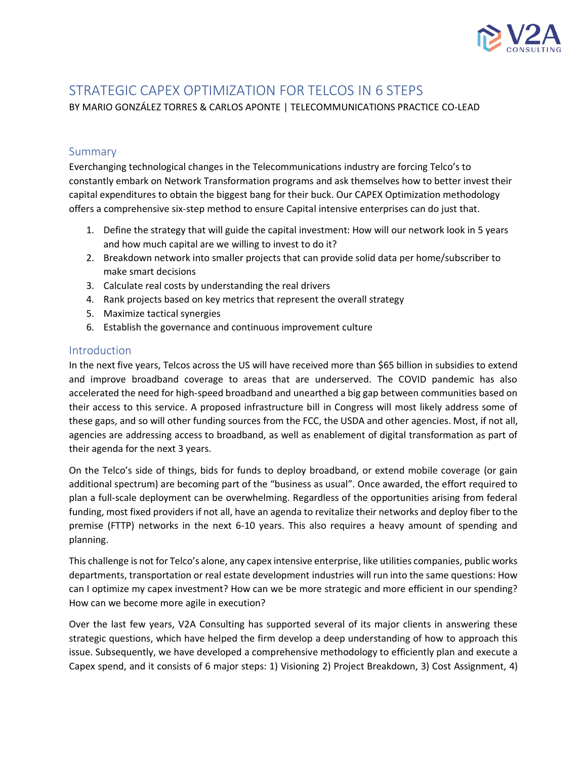

# STRATEGIC CAPEX OPTIMIZATION FOR TELCOS IN 6 STEPS

BY MARIO GONZÁLEZ TORRES & CARLOS APONTE | TELECOMMUNICATIONS PRACTICE CO-LEAD

## Summary

Everchanging technological changes in the Telecommunications industry are forcing Telco's to constantly embark on Network Transformation programs and ask themselves how to better invest their capital expenditures to obtain the biggest bang for their buck. Our CAPEX Optimization methodology offers a comprehensive six-step method to ensure Capital intensive enterprises can do just that.

- 1. Define the strategy that will guide the capital investment: How will our network look in 5 years and how much capital are we willing to invest to do it?
- 2. Breakdown network into smaller projects that can provide solid data per home/subscriber to make smart decisions
- 3. Calculate real costs by understanding the real drivers
- 4. Rank projects based on key metrics that represent the overall strategy
- 5. Maximize tactical synergies
- 6. Establish the governance and continuous improvement culture

## Introduction

In the next five years, Telcos across the US will have received more than \$65 billion in subsidies to extend and improve broadband coverage to areas that are underserved. The COVID pandemic has also accelerated the need for high-speed broadband and unearthed a big gap between communities based on their access to this service. A proposed infrastructure bill in Congress will most likely address some of these gaps, and so will other funding sources from the FCC, the USDA and other agencies. Most, if not all, agencies are addressing access to broadband, as well as enablement of digital transformation as part of their agenda for the next 3 years.

On the Telco's side of things, bids for funds to deploy broadband, or extend mobile coverage (or gain additional spectrum) are becoming part of the "business as usual". Once awarded, the effort required to plan a full-scale deployment can be overwhelming. Regardless of the opportunities arising from federal funding, most fixed providers if not all, have an agenda to revitalize their networks and deploy fiber to the premise (FTTP) networks in the next 6-10 years. This also requires a heavy amount of spending and planning.

This challenge is not for Telco's alone, any capex intensive enterprise, like utilities companies, public works departments, transportation or real estate development industries will run into the same questions: How can I optimize my capex investment? How can we be more strategic and more efficient in our spending? How can we become more agile in execution?

Over the last few years, V2A Consulting has supported several of its major clients in answering these strategic questions, which have helped the firm develop a deep understanding of how to approach this issue. Subsequently, we have developed a comprehensive methodology to efficiently plan and execute a Capex spend, and it consists of 6 major steps: 1) Visioning 2) Project Breakdown, 3) Cost Assignment, 4)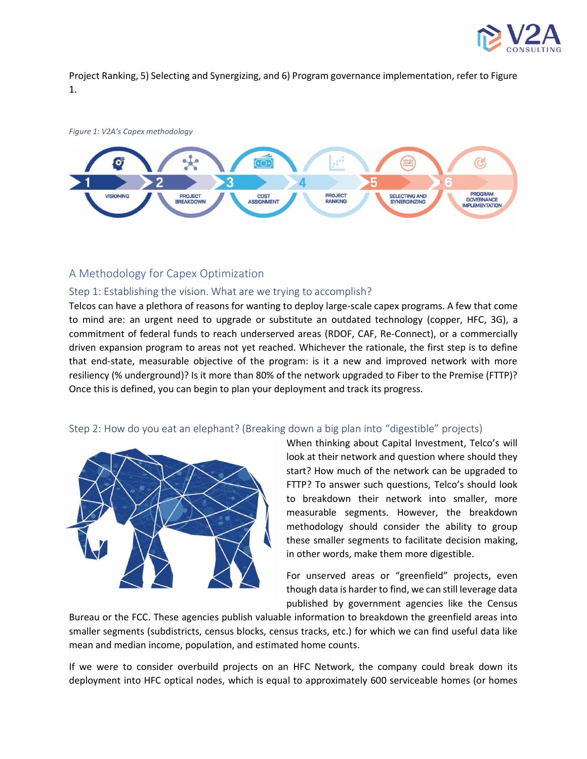

Project Ranking, 5) Selecting and Synergizing, and 6) Program governance implementation, refer to Figure 1.



## A Methodology for Capex Optimization

#### Step 1: Establishing the vision. What are we trying to accomplish?

Telcos can have a plethora of reasons for wanting to deploy large-scale capex programs. A few that come to mind are: an urgent need to upgrade or substitute an outdated technology (copper, HFC, 3G), a commitment of federal funds to reach underserved areas (RDOF, CAF, Re-Connect), or a commercially driven expansion program to areas not yet reached. Whichever the rationale, the first step is to define that end-state, measurable objective of the program: is it a new and improved network with more resiliency (% underground)? Is it more than 80% of the network upgraded to Fiber to the Premise (FTTP)? Once this is defined, you can begin to plan your deployment and track its progress.

#### Step 2: How do you eat an elephant? (Breaking down a big plan into "digestible" projects)



When thinking about Capital Investment, Telco's will look at their network and question where should they start? How much of the network can be upgraded to FTTP? To answer such questions, Telco's should look to breakdown their network into smaller, more measurable segments. However, the breakdown methodology should consider the ability to group these smaller segments to facilitate decision making, in other words, make them more digestible.

For unserved areas or "greenfield" projects, even though data is harder to find, we can still leverage data published by government agencies like the Census

Bureau or the FCC. These agencies publish valuable information to breakdown the greenfield areas into smaller segments (subdistricts, census blocks, census tracks, etc.) for which we can find useful data like mean and median income, population, and estimated home counts.

If we were to consider overbuild projects on an HFC Network, the company could break down its deployment into HFC optical nodes, which is equal to approximately 600 serviceable homes (or homes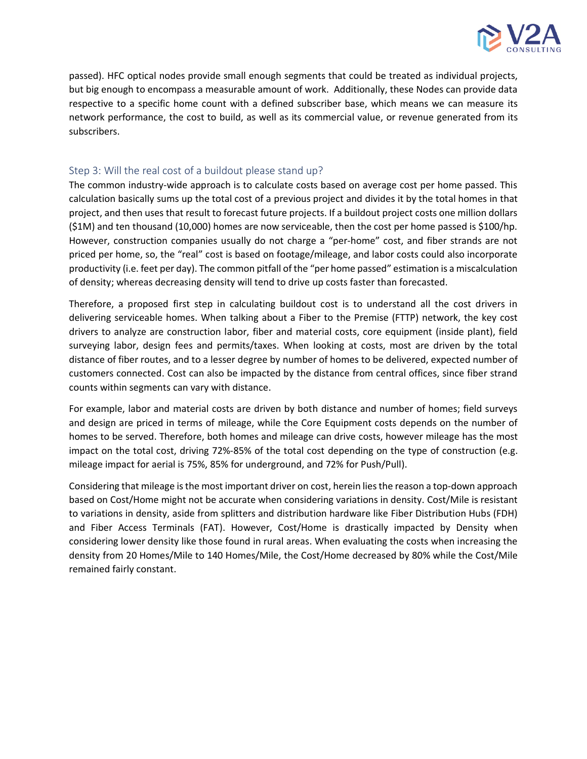

passed). HFC optical nodes provide small enough segments that could be treated as individual projects, but big enough to encompass a measurable amount of work. Additionally, these Nodes can provide data respective to a specific home count with a defined subscriber base, which means we can measure its network performance, the cost to build, as well as its commercial value, or revenue generated from its subscribers.

#### Step 3: Will the real cost of a buildout please stand up?

The common industry-wide approach is to calculate costs based on average cost per home passed. This calculation basically sums up the total cost of a previous project and divides it by the total homes in that project, and then uses that result to forecast future projects. If a buildout project costs one million dollars (\$1M) and ten thousand (10,000) homes are now serviceable, then the cost per home passed is \$100/hp. However, construction companies usually do not charge a "per-home" cost, and fiber strands are not priced per home, so, the "real" cost is based on footage/mileage, and labor costs could also incorporate productivity (i.e. feet per day). The common pitfall of the "per home passed" estimation is a miscalculation of density; whereas decreasing density will tend to drive up costs faster than forecasted.

Therefore, a proposed first step in calculating buildout cost is to understand all the cost drivers in delivering serviceable homes. When talking about a Fiber to the Premise (FTTP) network, the key cost drivers to analyze are construction labor, fiber and material costs, core equipment (inside plant), field surveying labor, design fees and permits/taxes. When looking at costs, most are driven by the total distance of fiber routes, and to a lesser degree by number of homes to be delivered, expected number of customers connected. Cost can also be impacted by the distance from central offices, since fiber strand counts within segments can vary with distance.

For example, labor and material costs are driven by both distance and number of homes; field surveys and design are priced in terms of mileage, while the Core Equipment costs depends on the number of homes to be served. Therefore, both homes and mileage can drive costs, however mileage has the most impact on the total cost, driving 72%-85% of the total cost depending on the type of construction (e.g. mileage impact for aerial is 75%, 85% for underground, and 72% for Push/Pull).

Considering that mileage is the most important driver on cost, herein lies the reason a top-down approach based on Cost/Home might not be accurate when considering variations in density. Cost/Mile is resistant to variations in density, aside from splitters and distribution hardware like Fiber Distribution Hubs (FDH) and Fiber Access Terminals (FAT). However, Cost/Home is drastically impacted by Density when considering lower density like those found in rural areas. When evaluating the costs when increasing the density from 20 Homes/Mile to 140 Homes/Mile, the Cost/Home decreased by 80% while the Cost/Mile remained fairly constant.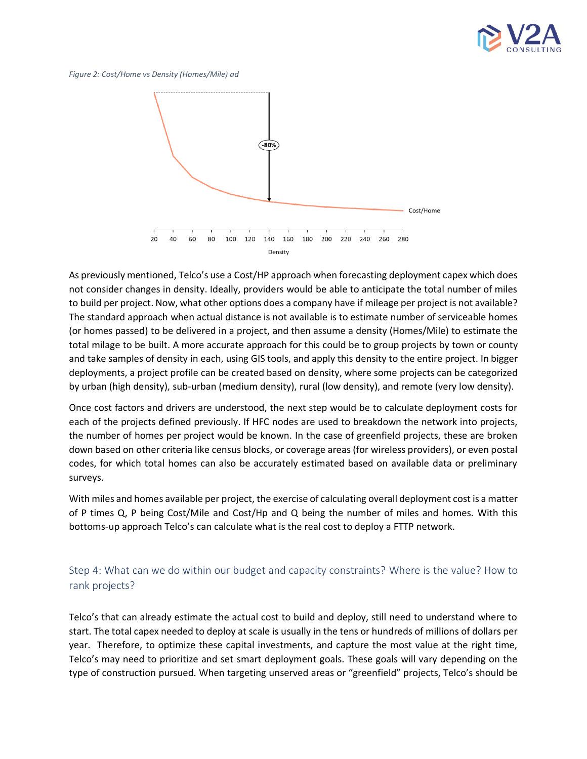

*Figure 2: Cost/Home vs Density (Homes/Mile) ad*



As previously mentioned, Telco's use a Cost/HP approach when forecasting deployment capex which does not consider changes in density. Ideally, providers would be able to anticipate the total number of miles to build per project. Now, what other options does a company have if mileage per project is not available? The standard approach when actual distance is not available is to estimate number of serviceable homes (or homes passed) to be delivered in a project, and then assume a density (Homes/Mile) to estimate the total milage to be built. A more accurate approach for this could be to group projects by town or county and take samples of density in each, using GIS tools, and apply this density to the entire project. In bigger deployments, a project profile can be created based on density, where some projects can be categorized by urban (high density), sub-urban (medium density), rural (low density), and remote (very low density).

Once cost factors and drivers are understood, the next step would be to calculate deployment costs for each of the projects defined previously. If HFC nodes are used to breakdown the network into projects, the number of homes per project would be known. In the case of greenfield projects, these are broken down based on other criteria like census blocks, or coverage areas (for wireless providers), or even postal codes, for which total homes can also be accurately estimated based on available data or preliminary surveys.

With miles and homes available per project, the exercise of calculating overall deployment cost is a matter of P times Q, P being Cost/Mile and Cost/Hp and Q being the number of miles and homes. With this bottoms-up approach Telco's can calculate what is the real cost to deploy a FTTP network.

# Step 4: What can we do within our budget and capacity constraints? Where is the value? How to rank projects?

Telco's that can already estimate the actual cost to build and deploy, still need to understand where to start. The total capex needed to deploy at scale is usually in the tens or hundreds of millions of dollars per year. Therefore, to optimize these capital investments, and capture the most value at the right time, Telco's may need to prioritize and set smart deployment goals. These goals will vary depending on the type of construction pursued. When targeting unserved areas or "greenfield" projects, Telco's should be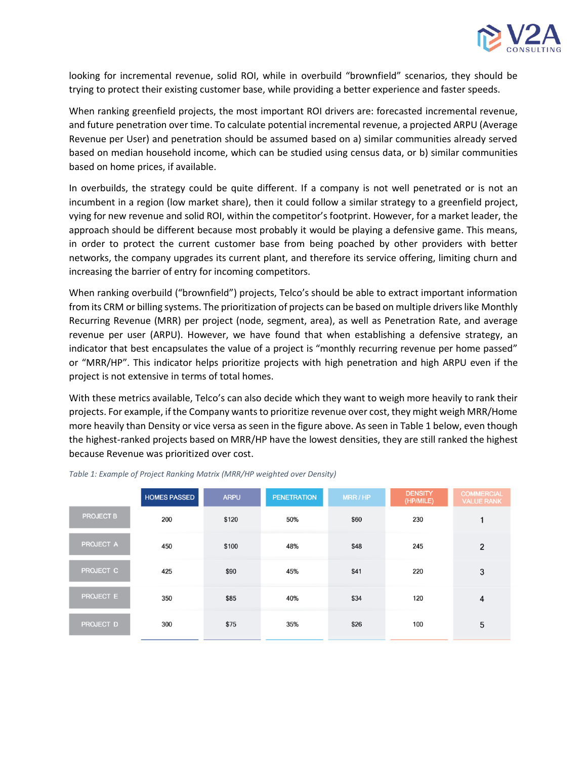

looking for incremental revenue, solid ROI, while in overbuild "brownfield" scenarios, they should be trying to protect their existing customer base, while providing a better experience and faster speeds.

When ranking greenfield projects, the most important ROI drivers are: forecasted incremental revenue, and future penetration over time. To calculate potential incremental revenue, a projected ARPU (Average Revenue per User) and penetration should be assumed based on a) similar communities already served based on median household income, which can be studied using census data, or b) similar communities based on home prices, if available.

In overbuilds, the strategy could be quite different. If a company is not well penetrated or is not an incumbent in a region (low market share), then it could follow a similar strategy to a greenfield project, vying for new revenue and solid ROI, within the competitor's footprint. However, for a market leader, the approach should be different because most probably it would be playing a defensive game. This means, in order to protect the current customer base from being poached by other providers with better networks, the company upgrades its current plant, and therefore its service offering, limiting churn and increasing the barrier of entry for incoming competitors.

When ranking overbuild ("brownfield") projects, Telco's should be able to extract important information from its CRM or billing systems. The prioritization of projects can be based on multiple drivers like Monthly Recurring Revenue (MRR) per project (node, segment, area), as well as Penetration Rate, and average revenue per user (ARPU). However, we have found that when establishing a defensive strategy, an indicator that best encapsulates the value of a project is "monthly recurring revenue per home passed" or "MRR/HP". This indicator helps prioritize projects with high penetration and high ARPU even if the project is not extensive in terms of total homes.

With these metrics available, Telco's can also decide which they want to weigh more heavily to rank their projects. For example, if the Company wantsto prioritize revenue over cost, they might weigh MRR/Home more heavily than Density or vice versa as seen in the figure above. As seen in Table 1 below, even though the highest-ranked projects based on MRR/HP have the lowest densities, they are still ranked the highest because Revenue was prioritized over cost.

|                  | <b>HOMES PASSED</b> | <b>ARPU</b> | <b>PENETRATION</b> | MRR/HP | <b>DENSITY</b><br>(HP/MILE) | <b>COMMERCIAL</b><br><b>VALUE RANK</b> |
|------------------|---------------------|-------------|--------------------|--------|-----------------------------|----------------------------------------|
| <b>PROJECT B</b> | 200                 | \$120       | 50%                | \$60   | 230                         | 1                                      |
| <b>PROJECT A</b> | 450                 | \$100       | 48%                | \$48   | 245                         | 2                                      |
| PROJECT C        | 425                 | \$90        | 45%                | \$41   | 220                         | 3                                      |
| <b>PROJECT E</b> | 350                 | \$85        | 40%                | \$34   | 120                         | 4                                      |
| <b>PROJECT D</b> | 300                 | \$75        | 35%                | \$26   | 100                         | 5                                      |

*Table 1: Example of Project Ranking Matrix (MRR/HP weighted over Density)*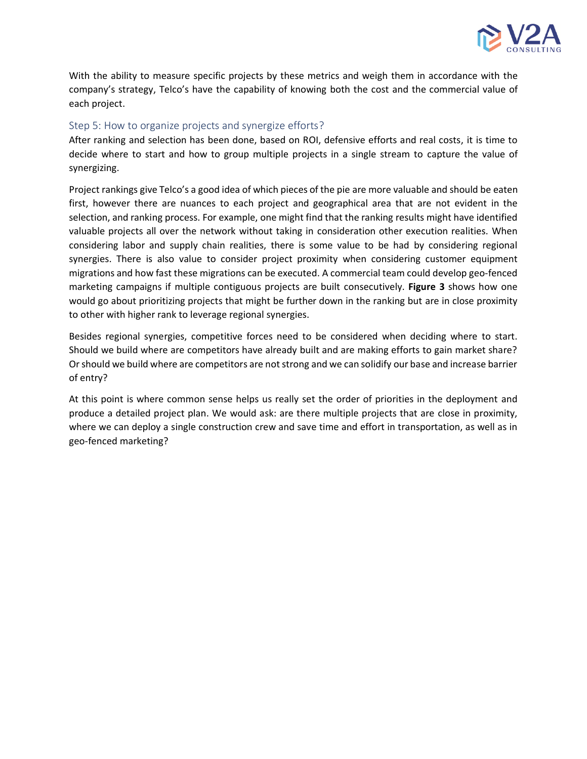

With the ability to measure specific projects by these metrics and weigh them in accordance with the company's strategy, Telco's have the capability of knowing both the cost and the commercial value of each project.

#### Step 5: How to organize projects and synergize efforts?

After ranking and selection has been done, based on ROI, defensive efforts and real costs, it is time to decide where to start and how to group multiple projects in a single stream to capture the value of synergizing.

Project rankings give Telco's a good idea of which pieces of the pie are more valuable and should be eaten first, however there are nuances to each project and geographical area that are not evident in the selection, and ranking process. For example, one might find that the ranking results might have identified valuable projects all over the network without taking in consideration other execution realities. When considering labor and supply chain realities, there is some value to be had by considering regional synergies. There is also value to consider project proximity when considering customer equipment migrations and how fast these migrations can be executed. A commercial team could develop geo-fenced marketing campaigns if multiple contiguous projects are built consecutively. **Figure 3** shows how one would go about prioritizing projects that might be further down in the ranking but are in close proximity to other with higher rank to leverage regional synergies.

Besides regional synergies, competitive forces need to be considered when deciding where to start. Should we build where are competitors have already built and are making efforts to gain market share? Or should we build where are competitors are not strong and we can solidify our base and increase barrier of entry?

At this point is where common sense helps us really set the order of priorities in the deployment and produce a detailed project plan. We would ask: are there multiple projects that are close in proximity, where we can deploy a single construction crew and save time and effort in transportation, as well as in geo-fenced marketing?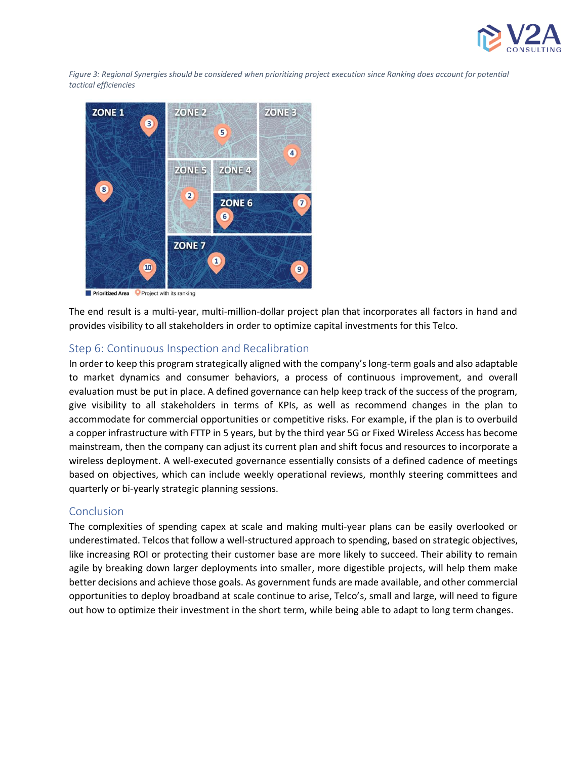

*Figure 3: Regional Synergies should be considered when prioritizing project execution since Ranking does account for potential tactical efficiencies*



**Prioritized Area** Project with its ranking

The end result is a multi-year, multi-million-dollar project plan that incorporates all factors in hand and provides visibility to all stakeholders in order to optimize capital investments for this Telco.

#### Step 6: Continuous Inspection and Recalibration

In order to keep this program strategically aligned with the company's long-term goals and also adaptable to market dynamics and consumer behaviors, a process of continuous improvement, and overall evaluation must be put in place. A defined governance can help keep track of the success of the program, give visibility to all stakeholders in terms of KPIs, as well as recommend changes in the plan to accommodate for commercial opportunities or competitive risks. For example, if the plan is to overbuild a copper infrastructure with FTTP in 5 years, but by the third year 5G or Fixed Wireless Access has become mainstream, then the company can adjust its current plan and shift focus and resources to incorporate a wireless deployment. A well-executed governance essentially consists of a defined cadence of meetings based on objectives, which can include weekly operational reviews, monthly steering committees and quarterly or bi-yearly strategic planning sessions.

#### Conclusion

The complexities of spending capex at scale and making multi-year plans can be easily overlooked or underestimated. Telcos that follow a well-structured approach to spending, based on strategic objectives, like increasing ROI or protecting their customer base are more likely to succeed. Their ability to remain agile by breaking down larger deployments into smaller, more digestible projects, will help them make better decisions and achieve those goals. As government funds are made available, and other commercial opportunities to deploy broadband at scale continue to arise, Telco's, small and large, will need to figure out how to optimize their investment in the short term, while being able to adapt to long term changes.